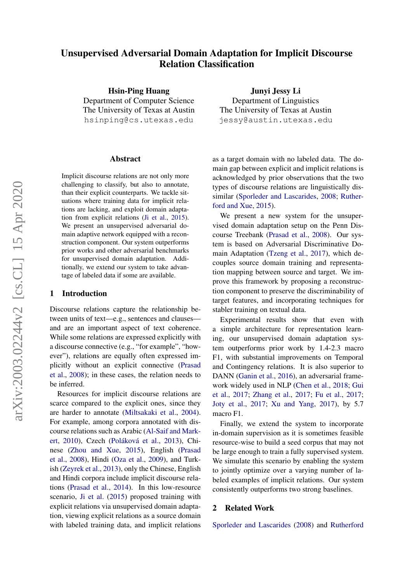# Unsupervised Adversarial Domain Adaptation for Implicit Discourse Relation Classification

Hsin-Ping Huang Department of Computer Science The University of Texas at Austin hsinping@cs.utexas.edu

#### Abstract

Implicit discourse relations are not only more challenging to classify, but also to annotate, than their explicit counterparts. We tackle situations where training data for implicit relations are lacking, and exploit domain adaptation from explicit relations [\(Ji et al.,](#page-8-0) [2015\)](#page-8-0). We present an unsupervised adversarial domain adaptive network equipped with a reconstruction component. Our system outperforms prior works and other adversarial benchmarks for unsupervised domain adaptation. Additionally, we extend our system to take advantage of labeled data if some are available.

# 1 Introduction

Discourse relations capture the relationship between units of text—e.g., sentences and clauses and are an important aspect of text coherence. While some relations are expressed explicitly with a discourse connective (e.g., "for example", "however"), relations are equally often expressed implicitly without an explicit connective [\(Prasad](#page-8-1) [et al.,](#page-8-1) [2008\)](#page-8-1); in these cases, the relation needs to be inferred.

Resources for implicit discourse relations are scarce compared to the explicit ones, since they are harder to annotate [\(Miltsakaki et al.,](#page-8-2) [2004\)](#page-8-2). For example, among corpora annotated with discourse relations such as Arabic [\(Al-Saif and Mark](#page-7-0)[ert,](#page-7-0) [2010\)](#page-7-0), Czech (Poláková et al., [2013\)](#page-8-3), Chinese [\(Zhou and Xue,](#page-9-0) [2015\)](#page-9-0), English [\(Prasad](#page-8-1) [et al.,](#page-8-1) [2008\)](#page-8-1), Hindi [\(Oza et al.,](#page-8-4) [2009\)](#page-8-4), and Turkish [\(Zeyrek et al.,](#page-9-1) [2013\)](#page-9-1), only the Chinese, English and Hindi corpora include implicit discourse relations [\(Prasad et al.,](#page-8-5) [2014\)](#page-8-5). In this low-resource scenario, [Ji et al.](#page-8-0) [\(2015\)](#page-8-0) proposed training with explicit relations via unsupervised domain adaptation, viewing explicit relations as a source domain with labeled training data, and implicit relations

Junyi Jessy Li Department of Linguistics The University of Texas at Austin jessy@austin.utexas.edu

as a target domain with no labeled data. The domain gap between explicit and implicit relations is acknowledged by prior observations that the two types of discourse relations are linguistically dissimilar [\(Sporleder and Lascarides,](#page-9-2) [2008;](#page-9-2) [Ruther](#page-9-3)[ford and Xue,](#page-9-3) [2015\)](#page-9-3).

We present a new system for the unsupervised domain adaptation setup on the Penn Discourse Treebank [\(Prasad et al.,](#page-8-1) [2008\)](#page-8-1). Our system is based on Adversarial Discriminative Domain Adaptation [\(Tzeng et al.,](#page-9-4) [2017\)](#page-9-4), which decouples source domain training and representation mapping between source and target. We improve this framework by proposing a reconstruction component to preserve the discriminability of target features, and incorporating techniques for stabler training on textual data.

Experimental results show that even with a simple architecture for representation learning, our unsupervised domain adaptation system outperforms prior work by 1.4-2.3 macro F1, with substantial improvements on Temporal and Contingency relations. It is also superior to DANN [\(Ganin et al.,](#page-8-6) [2016\)](#page-8-6), an adversarial framework widely used in NLP [\(Chen et al.,](#page-8-7) [2018;](#page-8-7) [Gui](#page-8-8) [et al.,](#page-8-8) [2017;](#page-8-8) [Zhang et al.,](#page-9-5) [2017;](#page-9-5) [Fu et al.,](#page-8-9) [2017;](#page-8-9) [Joty et al.,](#page-8-10) [2017;](#page-8-10) [Xu and Yang,](#page-9-6) [2017\)](#page-9-6), by 5.7 macro F1.

Finally, we extend the system to incorporate in-domain supervision as it is sometimes feasible resource-wise to build a seed corpus that may not be large enough to train a fully supervised system. We simulate this scenario by enabling the system to jointly optimize over a varying number of labeled examples of implicit relations. Our system consistently outperforms two strong baselines.

#### <span id="page-0-0"></span>2 Related Work

[Sporleder and Lascarides](#page-9-2) [\(2008\)](#page-9-2) and [Rutherford](#page-9-3)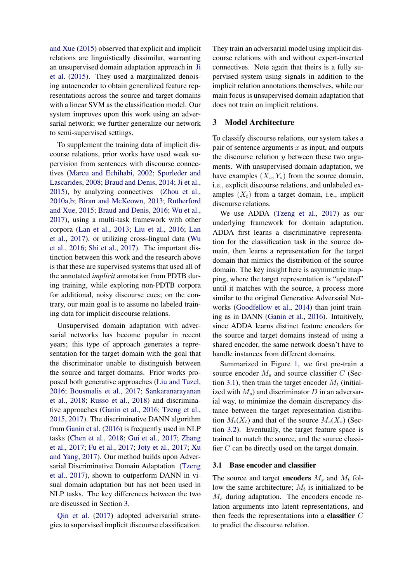[and Xue](#page-9-3) [\(2015\)](#page-9-3) observed that explicit and implicit relations are linguistically dissimilar, warranting an unsupervised domain adaptation approach in [Ji](#page-8-0) [et al.](#page-8-0) [\(2015\)](#page-8-0). They used a marginalized denoising autoencoder to obtain generalized feature representations across the source and target domains with a linear SVM as the classification model. Our system improves upon this work using an adversarial network; we further generalize our network to semi-supervised settings.

To supplement the training data of implicit discourse relations, prior works have used weak supervision from sentences with discourse connectives [\(Marcu and Echihabi,](#page-8-11) [2002;](#page-8-11) [Sporleder and](#page-9-2) [Lascarides,](#page-9-2) [2008;](#page-9-2) [Braud and Denis,](#page-8-12) [2014;](#page-8-12) [Ji et al.,](#page-8-0) [2015\)](#page-8-0), by analyzing connectives [\(Zhou et al.,](#page-9-7) [2010a](#page-9-7)[,b;](#page-9-8) [Biran and McKeown,](#page-8-13) [2013;](#page-8-13) [Rutherford](#page-9-3) [and Xue,](#page-9-3) [2015;](#page-9-3) [Braud and Denis,](#page-8-14) [2016;](#page-8-14) [Wu et al.,](#page-9-9) [2017\)](#page-9-9), using a multi-task framework with other corpora [\(Lan et al.,](#page-8-15) [2013;](#page-8-15) [Liu et al.,](#page-8-16) [2016;](#page-8-16) [Lan](#page-8-17) [et al.,](#page-8-17) [2017\)](#page-8-17), or utilizing cross-lingual data [\(Wu](#page-9-10) [et al.,](#page-9-10) [2016;](#page-9-10) [Shi et al.,](#page-9-11) [2017\)](#page-9-11). The important distinction between this work and the research above is that these are supervised systems that used all of the annotated *implicit* annotation from PDTB during training, while exploring non-PDTB corpora for additional, noisy discourse cues; on the contrary, our main goal is to assume no labeled training data for implicit discourse relations.

Unsupervised domain adaptation with adversarial networks has become popular in recent years; this type of approach generates a representation for the target domain with the goal that the discriminator unable to distinguish between the source and target domains. Prior works proposed both generative approaches [\(Liu and Tuzel,](#page-8-18) [2016;](#page-8-18) [Bousmalis et al.,](#page-8-19) [2017;](#page-8-19) [Sankaranarayanan](#page-9-12) [et al.,](#page-9-12) [2018;](#page-9-12) [Russo et al.,](#page-8-20) [2018\)](#page-8-20) and discriminative approaches [\(Ganin et al.,](#page-8-6) [2016;](#page-8-6) [Tzeng et al.,](#page-9-13) [2015,](#page-9-13) [2017\)](#page-9-4). The discriminative DANN algorithm from [Ganin et al.](#page-8-6) [\(2016\)](#page-8-6) is frequently used in NLP tasks [\(Chen et al.,](#page-8-7) [2018;](#page-8-7) [Gui et al.,](#page-8-8) [2017;](#page-8-8) [Zhang](#page-9-5) [et al.,](#page-9-5) [2017;](#page-9-5) [Fu et al.,](#page-8-9) [2017;](#page-8-9) [Joty et al.,](#page-8-10) [2017;](#page-8-10) [Xu](#page-9-6) [and Yang,](#page-9-6) [2017\)](#page-9-6). Our method builds upon Adversarial Discriminative Domain Adaptation [\(Tzeng](#page-9-4) [et al.,](#page-9-4) [2017\)](#page-9-4), shown to outperform DANN in visual domain adaptation but has not been used in NLP tasks. The key differences between the two are discussed in Section [3.](#page-1-0)

[Qin et al.](#page-8-21) [\(2017\)](#page-8-21) adopted adversarial strategies to supervised implicit discourse classification.

They train an adversarial model using implicit discourse relations with and without expert-inserted connectives. Note again that theirs is a fully supervised system using signals in addition to the implicit relation annotations themselves, while our main focus is unsupervised domain adaptation that does not train on implicit relations.

## <span id="page-1-0"></span>3 Model Architecture

To classify discourse relations, our system takes a pair of sentence arguments  $x$  as input, and outputs the discourse relation  $y$  between these two arguments. With unsupervised domain adaptation, we have examples  $(X_s, Y_s)$  from the source domain, i.e., explicit discourse relations, and unlabeled examples  $(X_t)$  from a target domain, i.e., implicit discourse relations.

We use ADDA [\(Tzeng et al.,](#page-9-4) [2017\)](#page-9-4) as our underlying framework for domain adaptation. ADDA first learns a discriminative representation for the classification task in the source domain, then learns a representation for the target domain that mimics the distribution of the source domain. The key insight here is asymmetric mapping, where the target representation is "updated" until it matches with the source, a process more similar to the original Generative Adversaial Networks [\(Goodfellow et al.,](#page-8-22) [2014\)](#page-8-22) than joint training as in DANN [\(Ganin et al.,](#page-8-6) [2016\)](#page-8-6). Intuitively, since ADDA learns distinct feature encoders for the source and target domains instead of using a shared encoder, the same network doesn't have to handle instances from different domains.

Summarized in Figure [1,](#page-2-0) we first pre-train a source encoder  $M_s$  and source classifier  $C$  (Sec-tion [3.1\)](#page-1-1), then train the target encoder  $M_t$  (initialized with  $M_s$ ) and discriminator D in an adversarial way, to minimize the domain discrepancy distance between the target representation distribution  $M_t(X_t)$  and that of the source  $M_s(X_s)$  (Section [3.2\)](#page-2-1). Eventually, the target feature space is trained to match the source, and the source classifier C can be directly used on the target domain.

#### <span id="page-1-1"></span>3.1 Base encoder and classifier

The source and target **encoders**  $M_s$  and  $M_t$  follow the same architecture;  $M_t$  is initialized to be  $M_s$  during adaptation. The encoders encode relation arguments into latent representations, and then feeds the representations into a classifier C to predict the discourse relation.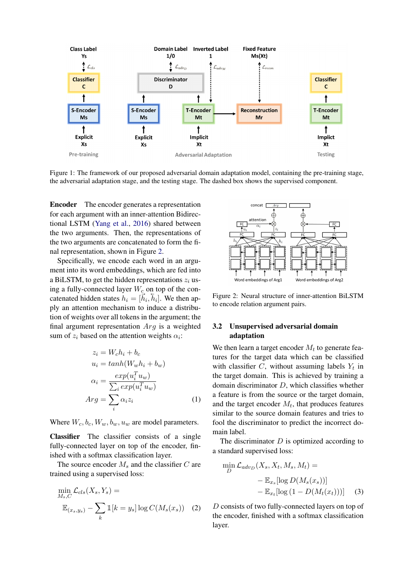<span id="page-2-0"></span>

Figure 1: The framework of our proposed adversarial domain adaptation model, containing the pre-training stage, the adversarial adaptation stage, and the testing stage. The dashed box shows the supervised component.

Encoder The encoder generates a representation for each argument with an inner-attention Bidirectional LSTM [\(Yang et al.,](#page-9-14) [2016\)](#page-9-14) shared between the two arguments. Then, the representations of the two arguments are concatenated to form the final representation, shown in Figure [2.](#page-2-2)

Specifically, we encode each word in an argument into its word embeddings, which are fed into a BiLSTM, to get the hidden representations  $z_i$  using a fully-connected layer  $W_c$  on top of the concatenated hidden states  $h_i = [\vec{h}_i, \vec{h}_i]$ . We then apply an attention mechanism to induce a distribution of weights over all tokens in the argument; the final argument representation  $Arg$  is a weighted sum of  $z_i$  based on the attention weights  $\alpha_i$ :

$$
z_i = W_c h_i + b_c
$$
  
\n
$$
u_i = \tanh(W_w h_i + b_w)
$$
  
\n
$$
\alpha_i = \frac{\exp(u_i^T u_w)}{\sum_i \exp(u_i^T u_w)}
$$
  
\n
$$
Arg = \sum_i \alpha_i z_i
$$
\n(1)

Where  $W_c, b_c, W_w, b_w, u_w$  are model parameters.

Classifier The classifier consists of a single fully-connected layer on top of the encoder, finished with a softmax classification layer.

The source encoder  $M_s$  and the classifier  $C$  are trained using a supervised loss:

$$
\min_{M_s, C} \mathcal{L}_{cls}(X_s, Y_s) =
$$
  

$$
\mathbb{E}_{(x_s, y_s)} - \sum_k \mathbb{1}[k = y_s] \log C(M_s(x_s)) \quad (2)
$$

<span id="page-2-2"></span>

Figure 2: Neural structure of inner-attention BiLSTM to encode relation argument pairs.

# <span id="page-2-1"></span>3.2 Unsupervised adversarial domain adaptation

We then learn a target encoder  $M_t$  to generate features for the target data which can be classified with classifier  $C$ , without assuming labels  $Y_t$  in the target domain. This is achieved by training a domain discriminator  $D$ , which classifies whether a feature is from the source or the target domain, and the target encoder  $M_t$ , that produces features similar to the source domain features and tries to fool the discriminator to predict the incorrect domain label.

The discriminator  $D$  is optimized according to a standard supervised loss:

<span id="page-2-4"></span>
$$
\min_{D} \mathcal{L}_{adv_D}(X_s, X_t, M_s, M_t) =
$$

$$
- \mathbb{E}_{x_s}[\log D(M_s(x_s))]
$$

$$
- \mathbb{E}_{x_t}[\log (1 - D(M_t(x_t)))] \quad (3)
$$

<span id="page-2-3"></span>D consists of two fully-connected layers on top of the encoder, finished with a softmax classification layer.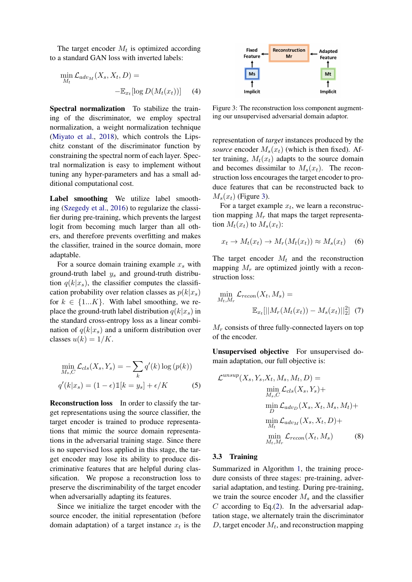The target encoder  $M_t$  is optimized according to a standard GAN loss with inverted labels:

$$
\min_{M_t} \mathcal{L}_{adv_M}(X_s, X_t, D) = -\mathbb{E}_{x_t}[\log D(M_t(x_t))]
$$
(4)

Spectral normalization To stabilize the training of the discriminator, we employ spectral normalization, a weight normalization technique [\(Miyato et al.,](#page-8-23) [2018\)](#page-8-23), which controls the Lipschitz constant of the discriminator function by constraining the spectral norm of each layer. Spectral normalization is easy to implement without tuning any hyper-parameters and has a small additional computational cost.

Label smoothing We utilize label smoothing [\(Szegedy et al.,](#page-9-15) [2016\)](#page-9-15) to regularize the classifier during pre-training, which prevents the largest logit from becoming much larger than all others, and therefore prevents overfitting and makes the classifier, trained in the source domain, more adaptable.

For a source domain training example  $x_s$  with ground-truth label  $y_s$  and ground-truth distribution  $q(k|x_s)$ , the classifier computes the classification probability over relation classes as  $p(k|x_s)$ for  $k \in \{1...K\}$ . With label smoothing, we replace the ground-truth label distribution  $q(k|x_s)$  in the standard cross-entropy loss as a linear combination of  $q(k|x_s)$  and a uniform distribution over classes  $u(k) = 1/K$ .

$$
\min_{M_s, C} \mathcal{L}_{cls}(X_s, Y_s) = -\sum_k q'(k) \log (p(k))
$$
  

$$
q'(k|x_s) = (1 - \epsilon) \mathbb{1}[k = y_s] + \epsilon/K
$$
 (5)

Reconstruction loss In order to classify the target representations using the source classifier, the target encoder is trained to produce representations that mimic the source domain representations in the adversarial training stage. Since there is no supervised loss applied in this stage, the target encoder may lose its ability to produce discriminative features that are helpful during classification. We propose a reconstruction loss to preserve the discriminability of the target encoder when adversarially adapting its features.

Since we initialize the target encoder with the source encoder, the initial representation (before domain adaptation) of a target instance  $x_t$  is the

<span id="page-3-0"></span>

<span id="page-3-1"></span>Figure 3: The reconstruction loss component augmenting our unsupervised adversarial domain adaptor.

representation of *target* instances produced by the *source* encoder  $M_s(x_t)$  (which is then fixed). After training,  $M_t(x_t)$  adapts to the source domain and becomes dissimilar to  $M_s(x_t)$ . The reconstruction loss encourages the target encoder to produce features that can be reconstructed back to  $M_s(x_t)$  (Figure [3\)](#page-3-0).

For a target example  $x_t$ , we learn a reconstruction mapping  $M_r$  that maps the target representation  $M_t(x_t)$  to  $M_s(x_t)$ :

$$
x_t \to M_t(x_t) \to M_r(M_t(x_t)) \approx M_s(x_t) \quad (6)
$$

The target encoder  $M_t$  and the reconstruction mapping  $M_r$  are optimized jointly with a reconstruction loss:

<span id="page-3-2"></span>
$$
\min_{M_t, M_r} \mathcal{L}_{recon}(X_t, M_s) =
$$
  

$$
\mathbb{E}_{x_t}[||M_r(M_t(x_t)) - M_s(x_t)||_2^2] \tag{7}
$$

 $M_r$  consists of three fully-connected layers on top of the encoder.

Unsupervised objective For unsupervised domain adaptation, our full objective is:

<span id="page-3-3"></span>
$$
\mathcal{L}^{unsup}(X_s, Y_s, X_t, M_s, M_t, D) =
$$
  
\n
$$
\min_{M_s, C} \mathcal{L}_{cls}(X_s, Y_s) +
$$
  
\n
$$
\min_{D} \mathcal{L}_{adv_D}(X_s, X_t, M_s, M_t) +
$$
  
\n
$$
\min_{M_t} \mathcal{L}_{adv_M}(X_s, X_t, D) +
$$
  
\n
$$
\min_{M_t, M_r} \mathcal{L}_{recon}(X_t, M_s)
$$
 (8)

# 3.3 Training

Summarized in Algorithm [1,](#page-4-0) the training procedure consists of three stages: pre-training, adversarial adaptation, and testing. During pre-training, we train the source encoder  $M_s$  and the classifier  $C$  according to Eq. $(2)$ . In the adversarial adaptation stage, we alternately train the discriminator D, target encoder  $M_t$ , and reconstruction mapping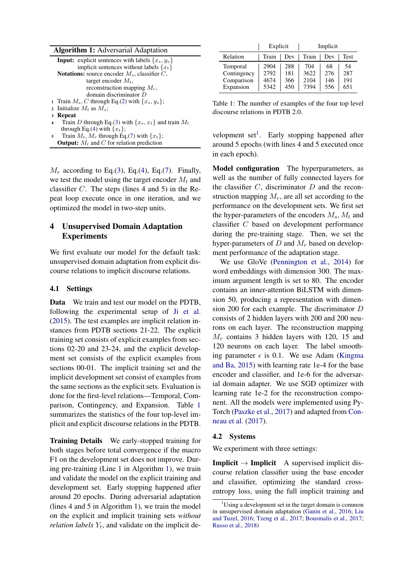|                                                        | <b>Input:</b> explicit sentences with labels $\{x_s, y_s\}$ |  |  |  |  |  |  |  |
|--------------------------------------------------------|-------------------------------------------------------------|--|--|--|--|--|--|--|
|                                                        | implicit sentences without labels $\{x_t\}$                 |  |  |  |  |  |  |  |
| <b>Notations:</b> source encoder $M_s$ , classifier C, |                                                             |  |  |  |  |  |  |  |
|                                                        | target encoder $M_t$ ,                                      |  |  |  |  |  |  |  |
|                                                        | reconstruction mapping $M_r$ ,                              |  |  |  |  |  |  |  |
|                                                        | domain discriminator $D$                                    |  |  |  |  |  |  |  |
|                                                        | 1 Train $M_s$ , C through Eq.(2) with $\{x_s, y_s\}$ ;      |  |  |  |  |  |  |  |
|                                                        | 2 Initialize $M_t$ as $M_s$ ;                               |  |  |  |  |  |  |  |
|                                                        | 3 Repeat                                                    |  |  |  |  |  |  |  |
| $\overline{4}$                                         | Train D through Eq.(3) with $\{x_s, x_t\}$ and train $M_t$  |  |  |  |  |  |  |  |
|                                                        | through Eq.(4) with $\{x_t\}$ ;                             |  |  |  |  |  |  |  |
| 5                                                      | Train $M_t$ , $M_r$ through Eq.(7) with $\{x_t\}$ ;         |  |  |  |  |  |  |  |

<span id="page-4-0"></span>**Output:**  $M_t$  and  $C$  for relation prediction

 $M_r$  according to Eq.[\(3\)](#page-2-4), Eq.[\(4\)](#page-3-1), Eq.[\(7\)](#page-3-2). Finally, we test the model using the target encoder  $M_t$  and classifier  $C$ . The steps (lines 4 and 5) in the Repeat loop execute once in one iteration, and we optimized the model in two-step units.

# 4 Unsupervised Domain Adaptation Experiments

We first evaluate our model for the default task: unsupervised domain adaptation from explicit discourse relations to implicit discourse relations.

#### 4.1 Settings

Data We train and test our model on the PDTB, following the experimental setup of [Ji et al.](#page-8-0) [\(2015\)](#page-8-0). The test examples are implicit relation instances from PDTB sections 21-22. The explicit training set consists of explicit examples from sections 02-20 and 23-24, and the explicit development set consists of the explicit examples from sections 00-01. The implicit training set and the implicit development set consist of examples from the same sections as the explicit sets. Evaluation is done for the first-level relations—Temporal, Comparison, Contingency, and Expansion. Table [1](#page-4-1) summarizes the statistics of the four top-level implicit and explicit discourse relations in the PDTB.

Training Details We early-stopped training for both stages before total convergence if the macro F1 on the development set does not improve. During pre-training (Line 1 in Algorithm [1\)](#page-4-0), we train and validate the model on the explicit training and development set. Early stopping happened after around 20 epochs. During adversarial adaptation (lines 4 and 5 in Algorithm 1), we train the model on the explicit and implicit training sets *without relation labels*  $Y_t$ , and validate on the implicit de-

<span id="page-4-1"></span>

|             | Explicit |     | Implicit |     |      |
|-------------|----------|-----|----------|-----|------|
| Relation    | Train    | Dev | Train    | Dev | Test |
| Temporal    | 2904     | 288 | 704      | 68  | 54   |
| Contingency | 2792     | 181 | 3622     | 276 | 287  |
| Comparison  | 4674     | 366 | 2104     | 146 | 191  |
| Expansion   | 5342     | 450 | 7394     | 556 | 651  |

Table 1: The number of examples of the four top level discourse relations in PDTB 2.0.

velopment set<sup>[1](#page-4-2)</sup>. Early stopping happened after around 5 epochs (with lines 4 and 5 executed once in each epoch).

Model configuration The hyperparameters, as well as the number of fully connected layers for the classifier  $C$ , discriminator  $D$  and the reconstruction mapping  $M_r$ , are all set according to the performance on the development sets. We first set the hyper-parameters of the encoders  $M_s$ ,  $M_t$  and classifier C based on development performance during the pre-training stage. Then, we set the hyper-parameters of D and  $M_r$  based on development performance of the adaptation stage.

We use GloVe [\(Pennington et al.,](#page-8-24) [2014\)](#page-8-24) for word embeddings with dimension 300. The maximum argument length is set to 80. The encoder contains an inner-attention BiLSTM with dimension 50, producing a representation with dimension 200 for each example. The discriminator D consists of 2 hidden layers with 200 and 200 neurons on each layer. The reconstruction mapping  $M_r$  contains 3 hidden layers with 120, 15 and 120 neurons on each layer. The label smoothing parameter  $\epsilon$  is 0.1. We use Adam [\(Kingma](#page-8-25) [and Ba,](#page-8-25) [2015\)](#page-8-25) with learning rate 1e-4 for the base encoder and classifier, and 1e-6 for the adversarial domain adapter. We use SGD optimizer with learning rate 1e-2 for the reconstruction component. All the models were implemented using Py-Torch [\(Paszke et al.,](#page-8-26) [2017\)](#page-8-26) and adapted from [Con](#page-8-27)[neau et al.](#page-8-27) [\(2017\)](#page-8-27).

#### 4.2 Systems

We experiment with three settings:

**Implicit**  $\rightarrow$  **Implicit** A supervised implicit discourse relation classifier using the base encoder and classifier, optimizing the standard crossentropy loss, using the full implicit training and

<span id="page-4-2"></span><sup>&</sup>lt;sup>1</sup>Using a development set in the target domain is common in unsupervised domain adaptation [\(Ganin et al.,](#page-8-6) [2016;](#page-8-6) [Liu](#page-8-18) [and Tuzel,](#page-8-18) [2016;](#page-8-18) [Tzeng et al.,](#page-9-4) [2017;](#page-9-4) [Bousmalis et al.,](#page-8-19) [2017;](#page-8-19) [Russo et al.,](#page-8-20) [2018\)](#page-8-20)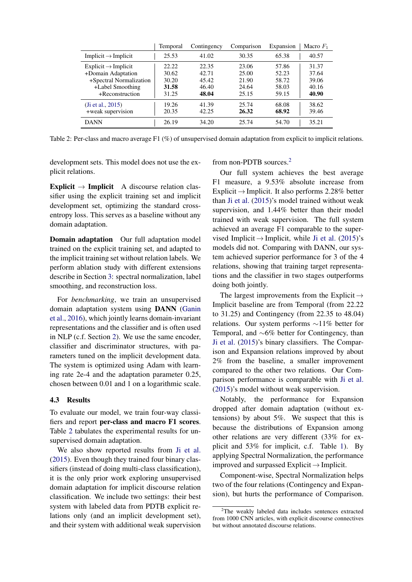<span id="page-5-0"></span>

|                                                                                                                         | Temporal                                  | Contingency                               | Comparison                                | Expansion                                 | Macro $F_1$                               |
|-------------------------------------------------------------------------------------------------------------------------|-------------------------------------------|-------------------------------------------|-------------------------------------------|-------------------------------------------|-------------------------------------------|
| Implicit $\rightarrow$ Implicit                                                                                         | 25.53                                     | 41.02                                     | 30.35                                     | 65.38                                     | 40.57                                     |
| $Explicit \rightarrow Implicit$<br>+Domain Adaptation<br>+Spectral Normalization<br>+Label Smoothing<br>+Reconstruction | 22.22<br>30.62<br>30.20<br>31.58<br>31.25 | 22.35<br>42.71<br>45.42<br>46.40<br>48.04 | 23.06<br>25.00<br>21.90<br>24.64<br>25.15 | 57.86<br>52.23<br>58.72<br>58.03<br>59.15 | 31.37<br>37.64<br>39.06<br>40.16<br>40.90 |
| (Ji et al., $2015$ )<br>+weak supervision<br><b>DANN</b>                                                                | 19.26<br>20.35                            | 41.39<br>42.25<br>34.20                   | 25.74<br>26.32<br>25.74                   | 68.08<br>68.92                            | 38.62<br>39.46<br>35.21                   |
|                                                                                                                         | 26.19                                     |                                           |                                           | 54.70                                     |                                           |

Table 2: Per-class and macro average F1 (%) of unsupervised domain adaptation from explicit to implicit relations.

development sets. This model does not use the explicit relations.

from non-PDTB sources.[2](#page-5-1)

Explicit  $\rightarrow$  Implicit A discourse relation classifier using the explicit training set and implicit development set, optimizing the standard crossentropy loss. This serves as a baseline without any domain adaptation.

Domain adaptation Our full adaptation model trained on the explicit training set, and adapted to the implicit training set without relation labels. We perform ablation study with different extensions describe in Section [3:](#page-1-0) spectral normalization, label smoothing, and reconstruction loss.

For *benchmarking*, we train an unsupervised domain adaptation system using DANN [\(Ganin](#page-8-6) [et al.,](#page-8-6) [2016\)](#page-8-6), which jointly learns domain-invariant representations and the classifier and is often used in NLP (c.f. Section [2\)](#page-0-0). We use the same encoder, classifier and discriminator structures, with parameters tuned on the implicit development data. The system is optimized using Adam with learning rate 2e-4 and the adaptation parameter 0.25, chosen between 0.01 and 1 on a logarithmic scale.

# 4.3 Results

To evaluate our model, we train four-way classifiers and report per-class and macro F1 scores. Table [2](#page-5-0) tabulates the experimental results for unsupervised domain adaptation.

We also show reported results from [Ji et al.](#page-8-0) [\(2015\)](#page-8-0). Even though they trained four binary classifiers (instead of doing multi-class classification), it is the only prior work exploring unsupervised domain adaptation for implicit discourse relation classification. We include two settings: their best system with labeled data from PDTB explicit relations only (and an implicit development set), and their system with additional weak supervision

Our full system achieves the best average F1 measure, a 9.53% absolute increase from Explicit  $\rightarrow$  Implicit. It also performs 2.28% better than [Ji et al.](#page-8-0) [\(2015\)](#page-8-0)'s model trained without weak supervision, and 1.44% better than their model trained with weak supervision. The full system achieved an average F1 comparable to the supervised Implicit  $\rightarrow$  Implicit, while [Ji et al.](#page-8-0) [\(2015\)](#page-8-0)'s models did not. Comparing with DANN, our system achieved superior performance for 3 of the 4 relations, showing that training target representations and the classifier in two stages outperforms doing both jointly.

The largest improvements from the Explicit  $\rightarrow$ Implicit baseline are from Temporal (from 22.22 to 31.25) and Contingency (from 22.35 to 48.04) relations. Our system performs ∼11% better for Temporal, and ∼6% better for Contingency, than [Ji et al.](#page-8-0) [\(2015\)](#page-8-0)'s binary classifiers. The Comparison and Expansion relations improved by about 2% from the baseline, a smaller improvement compared to the other two relations. Our Comparison performance is comparable with [Ji et al.](#page-8-0) [\(2015\)](#page-8-0)'s model without weak supervision.

Notably, the performance for Expansion dropped after domain adaptation (without extensions) by about 5%. We suspect that this is because the distributions of Expansion among other relations are very different (33% for explicit and 53% for implicit, c.f. Table [1\)](#page-4-1). By applying Spectral Normalization, the performance improved and surpassed Explicit→Implicit.

Component-wise, Spectral Normalization helps two of the four relations (Contingency and Expansion), but hurts the performance of Comparison.

<span id="page-5-1"></span> $2$ The weakly labeled data includes sentences extracted from 1000 CNN articles, with explicit discourse connectives but without annotated discourse relations.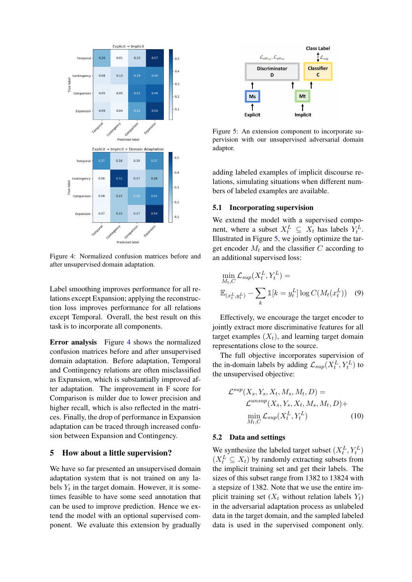<span id="page-6-0"></span>

Figure 4: Normalized confusion matrices before and after unsupervised domain adaptation.

Label smoothing improves performance for all relations except Expansion; applying the reconstruction loss improves performance for all relations except Temporal. Overall, the best result on this task is to incorporate all components.

Error analysis Figure [4](#page-6-0) shows the normalized confusion matrices before and after unsupervised domain adaptation. Before adaptation, Temporal and Contingency relations are often misclassified as Expansion, which is substantially improved after adaptation. The improvement in F score for Comparison is milder due to lower precision and higher recall, which is also reflected in the matrices. Finally, the drop of performance in Expansion adaptation can be traced through increased confusion between Expansion and Contingency.

## 5 How about a little supervision?

We have so far presented an unsupervised domain adaptation system that is not trained on any labels  $Y_t$  in the target domain. However, it is sometimes feasible to have some seed annotation that can be used to improve prediction. Hence we extend the model with an optional supervised component. We evaluate this extension by gradually

<span id="page-6-1"></span>

Figure 5: An extension component to incorporate supervision with our unsupervised adversarial domain adaptor.

adding labeled examples of implicit discourse relations, simulating situations when different numbers of labeled examples are available.

## 5.1 Incorporating supervision

We extend the model with a supervised component, where a subset  $X_t^L \subseteq X_t$  has labels  $Y_t^L$ . Illustrated in Figure [5,](#page-6-1) we jointly optimize the target encoder  $M_t$  and the classifier C according to an additional supervised loss:

<span id="page-6-2"></span>
$$
\min_{M_t, C} \mathcal{L}_{sup}(X_t^L, Y_t^L) =
$$
  

$$
\mathbb{E}_{(x_t^L, y_t^L)} - \sum_k \mathbb{1}[k = y_t^L] \log C(M_t(x_t^L))
$$
 (9)

Effectively, we encourage the target encoder to jointly extract more discriminative features for all target examples  $(X_t)$ , and learning target domain representations close to the source.

The full objective incorporates supervision of the in-domain labels by adding  $\mathcal{L}_{sup}(X_t^L, Y_t^L)$  to the unsupervised objective:

<span id="page-6-3"></span>
$$
\mathcal{L}^{sup}(X_s, Y_s, X_t, M_s, M_t, D) =
$$
  

$$
\mathcal{L}^{unsup}(X_s, Y_s, X_t, M_s, M_t, D) +
$$
  

$$
\min_{M_t, C} \mathcal{L}_{sup}(X_t^L, Y_t^L)
$$
 (10)

#### 5.2 Data and settings

We synthesize the labeled target subset  $(X_t^L, Y_t^L)$  $(X_t^L \subseteq X_t)$  by randomly extracting subsets from the implicit training set and get their labels. The sizes of this subset range from 1382 to 13824 with a stepsize of 1382. Note that we use the entire implicit training set  $(X_t$  without relation labels  $Y_t$ ) in the adversarial adaptation process as unlabeled data in the target domain, and the sampled labeled data is used in the supervised component only.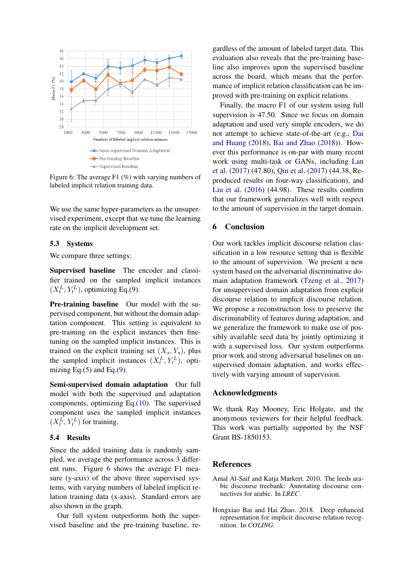<span id="page-7-1"></span>

Figure 6: The average F1 (%) with varying numbers of labeled implicit relation training data.

We use the same hyper-parameters as the unsupervised experiment, except that we tune the learning rate on the implicit development set.

#### 5.3 Systems

We compare three settings:

Supervised baseline The encoder and classifier trained on the sampled implicit instances  $(X_t^L, Y_t^L)$ , optimizing Eq.[\(9\)](#page-6-2).

Pre-training baseline Our model with the supervised component, but without the domain adaptation component. This setting is equivalent to pre-training on the explicit instances then finetuning on the sampled implicit instances. This is trained on the explicit training set  $(X_s, Y_s)$ , plus the sampled implicit instances  $(X_t^L, Y_t^L)$ , optimizing Eq. $(5)$  and Eq. $(9)$ .

Semi-supervised domain adaptation Our full model with both the supervised and adaptation components, optimizing Eq.[\(10\)](#page-6-3). The supervised component uses the sampled implicit instances  $(X_t^L, Y_t^L)$  for training.

# 5.4 Results

Since the added training data is randomly sampled, we average the performance across 3 different runs. Figure [6](#page-7-1) shows the average F1 measure (y-axis) of the above three supervised systems, with varying numbers of labeled implicit relation training data (x-axis). Standard errors are also shown in the graph.

Our full system outperforms both the supervised baseline and the pre-training baseline, regardless of the amount of labeled target data. This evaluation also reveals that the pre-training baseline also improves upon the supervised baseline across the board, which means that the performance of implicit relation classification can be improved with pre-training on explicit relations.

Finally, the macro F1 of our system using full supervision is 47.50. Since we focus on domain adaptation and used very simple encoders, we do not attempt to achieve state-of-the-art (e.g., [Dai](#page-8-28) [and Huang](#page-8-28) [\(2018\)](#page-8-28), [Bai and Zhao](#page-7-2) [\(2018\)](#page-7-2)). However this performance is on-par with many recent work using multi-task or GANs, including [Lan](#page-8-17) [et al.](#page-8-17) [\(2017\)](#page-8-17) (47.80), [Qin et al.](#page-8-21) [\(2017\)](#page-8-21) (44.38, Reproduced results on four-way classification), and [Liu et al.](#page-8-16) [\(2016\)](#page-8-16) (44.98). These results confirm that our framework generalizes well with respect to the amount of supervision in the target domain.

# 6 Conclusion

Our work tackles implicit discourse relation classification in a low resource setting that is flexible to the amount of supervision. We present a new system based on the adversarial discriminative domain adaptation framework [\(Tzeng et al.,](#page-9-4) [2017\)](#page-9-4) for unsupervised domain adaptation from explicit discourse relation to implicit discourse relation. We propose a reconstruction loss to preserve the discriminability of features during adaptation, and we generalize the framework to make use of possibly available seed data by jointly optimizing it with a supervised loss. Our system outperforms prior work and strong adversarial baselines on unsupervised domain adaptation, and works effectively with varying amount of supervision.

#### Acknowledgments

We thank Ray Mooney, Eric Holgate, and the anonymous reviewers for their helpful feedback. This work was partially supported by the NSF Grant IIS-1850153.

# **References**

- <span id="page-7-0"></span>Amal Al-Saif and Katja Markert. 2010. The leeds arabic discourse treebank: Annotating discourse connectives for arabic. In *LREC*.
- <span id="page-7-2"></span>Hongxiao Bai and Hai Zhao. 2018. Deep enhanced representation for implicit discourse relation recognition. In *COLING*.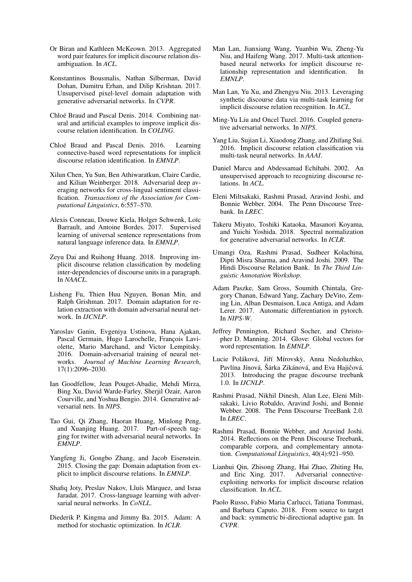- <span id="page-8-13"></span>Or Biran and Kathleen McKeown. 2013. Aggregated word pair features for implicit discourse relation disambiguation. In *ACL*.
- <span id="page-8-19"></span>Konstantinos Bousmalis, Nathan Silberman, David Dohan, Dumitru Erhan, and Dilip Krishnan. 2017. Unsupervised pixel-level domain adaptation with generative adversarial networks. In *CVPR*.
- <span id="page-8-12"></span>Chloé Braud and Pascal Denis. 2014. Combining natural and artificial examples to improve implicit discourse relation identification. In *COLING*.
- <span id="page-8-14"></span>Chloé Braud and Pascal Denis. 2016. Learning connective-based word representations for implicit discourse relation identification. In *EMNLP*.
- <span id="page-8-7"></span>Xilun Chen, Yu Sun, Ben Athiwaratkun, Claire Cardie, and Kilian Weinberger. 2018. Adversarial deep averaging networks for cross-lingual sentiment classification. *Transactions of the Association for Computational Linguistics*, 6:557–570.
- <span id="page-8-27"></span>Alexis Conneau, Douwe Kiela, Holger Schwenk, Loïc Barrault, and Antoine Bordes. 2017. Supervised learning of universal sentence representations from natural language inference data. In *EMNLP*.
- <span id="page-8-28"></span>Zeyu Dai and Ruihong Huang. 2018. Improving implicit discourse relation classification by modeling inter-dependencies of discourse units in a paragraph. In *NAACL*.
- <span id="page-8-9"></span>Lisheng Fu, Thien Huu Nguyen, Bonan Min, and Ralph Grishman. 2017. Domain adaptation for relation extraction with domain adversarial neural network. In *IJCNLP*.
- <span id="page-8-6"></span>Yaroslav Ganin, Evgeniya Ustinova, Hana Ajakan, Pascal Germain, Hugo Larochelle, François Laviolette, Mario Marchand, and Victor Lempitsky. 2016. Domain-adversarial training of neural networks. *Journal of Machine Learning Research*, 17(1):2096–2030.
- <span id="page-8-22"></span>Ian Goodfellow, Jean Pouget-Abadie, Mehdi Mirza, Bing Xu, David Warde-Farley, Sherjil Ozair, Aaron Courville, and Yoshua Bengio. 2014. Generative adversarial nets. In *NIPS*.
- <span id="page-8-8"></span>Tao Gui, Qi Zhang, Haoran Huang, Minlong Peng, and Xuanjing Huang. 2017. Part-of-speech tagging for twitter with adversarial neural networks. In *EMNLP*.
- <span id="page-8-0"></span>Yangfeng Ji, Gongbo Zhang, and Jacob Eisenstein. 2015. Closing the gap: Domain adaptation from explicit to implicit discourse relations. In *EMNLP*.
- <span id="page-8-10"></span>Shafiq Joty, Preslav Nakov, Lluís Màrquez, and Israa Jaradat. 2017. Cross-language learning with adversarial neural networks. In *CoNLL*.
- <span id="page-8-25"></span>Diederik P. Kingma and Jimmy Ba. 2015. Adam: A method for stochastic optimization. In *ICLR*.
- <span id="page-8-17"></span>Man Lan, Jianxiang Wang, Yuanbin Wu, Zheng-Yu Niu, and Haifeng Wang. 2017. Multi-task attentionbased neural networks for implicit discourse relationship representation and identification. In *EMNLP*.
- <span id="page-8-15"></span>Man Lan, Yu Xu, and Zhengyu Niu. 2013. Leveraging synthetic discourse data via multi-task learning for implicit discourse relation recognition. In *ACL*.
- <span id="page-8-18"></span>Ming-Yu Liu and Oncel Tuzel. 2016. Coupled generative adversarial networks. In *NIPS*.
- <span id="page-8-16"></span>Yang Liu, Sujian Li, Xiaodong Zhang, and Zhifang Sui. 2016. Implicit discourse relation classification via multi-task neural networks. In *AAAI*.
- <span id="page-8-11"></span>Daniel Marcu and Abdessamad Echihabi. 2002. An unsupervised approach to recognizing discourse relations. In *ACL*.
- <span id="page-8-2"></span>Eleni Miltsakaki, Rashmi Prasad, Aravind Joshi, and Bonnie Webber. 2004. The Penn Discourse Treebank. In *LREC*.
- <span id="page-8-23"></span>Takeru Miyato, Toshiki Kataoka, Masanori Koyama, and Yuichi Yoshida. 2018. Spectral normalization for generative adversarial networks. In *ICLR*.
- <span id="page-8-4"></span>Umangi Oza, Rashmi Prasad, Sudheer Kolachina, Dipti Misra Sharma, and Aravind Joshi. 2009. The Hindi Discourse Relation Bank. In *The Third Linguistic Annotation Workshop*.
- <span id="page-8-26"></span>Adam Paszke, Sam Gross, Soumith Chintala, Gregory Chanan, Edward Yang, Zachary DeVito, Zeming Lin, Alban Desmaison, Luca Antiga, and Adam Lerer. 2017. Automatic differentiation in pytorch. In *NIPS-W*.
- <span id="page-8-24"></span>Jeffrey Pennington, Richard Socher, and Christopher D. Manning. 2014. Glove: Global vectors for word representation. In *EMNLP*.
- <span id="page-8-3"></span>Lucie Poláková, Jiří Mírovský, Anna Nedoluzhko, Pavlína Jínová, Šárka Zikánová, and Eva Hajičová. 2013. Introducing the prague discourse treebank 1.0. In *IJCNLP*.
- <span id="page-8-1"></span>Rashmi Prasad, Nikhil Dinesh, Alan Lee, Eleni Miltsakaki, Livio Robaldo, Aravind Joshi, and Bonnie Webber. 2008. The Penn Discourse TreeBank 2.0. In *LREC*.
- <span id="page-8-5"></span>Rashmi Prasad, Bonnie Webber, and Aravind Joshi. 2014. Reflections on the Penn Discourse Treebank, comparable corpora, and complementary annotation. *Computational Linguistics*, 40(4):921–950.
- <span id="page-8-21"></span>Lianhui Qin, Zhisong Zhang, Hai Zhao, Zhiting Hu, and Eric Xing. 2017. Adversarial connectiveexploiting networks for implicit discourse relation classification. In *ACL*.
- <span id="page-8-20"></span>Paolo Russo, Fabio Maria Carlucci, Tatiana Tommasi, and Barbara Caputo. 2018. From source to target and back: symmetric bi-directional adaptive gan. In *CVPR*.